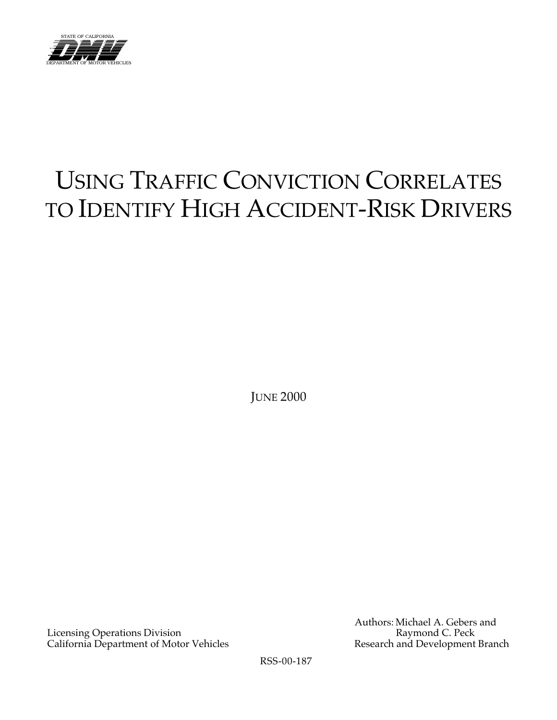

# USING TRAFFIC CONVICTION CORRELATES TO IDENTIFY HIGH ACCIDENT-RISK DRIVERS

JUNE 2000

Licensing Operations Division **Raymond C. Peck** California Department of Motor Vehicles Research and Development Branch

Authors: Michael A. Gebers and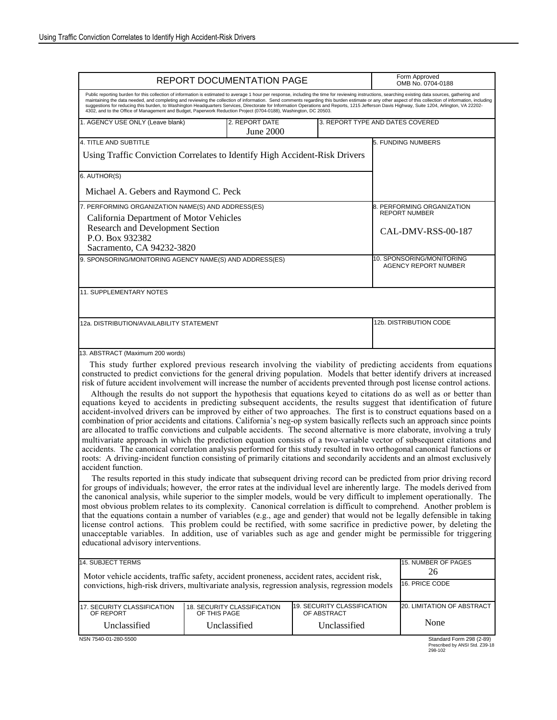| <b>REPORT DOCUMENTATION PAGE</b>                                                                                                                                                                                                                                                                                                                                                                                                                                                                                                                                                                                                                                                                                                                                                                                                                                                                                                                                                                                                                                                                                                                                                                                                                                                                                                                                                                                                                                                                                                                                                                                                                                                                                                                                                                                                                                                                                                                                                                                                                                                                                                                                                                                                                                                                                                                                                                                 |              |                                  |  |                                            |  | Form Approved<br>OMB No. 0704-0188                                    |  |
|------------------------------------------------------------------------------------------------------------------------------------------------------------------------------------------------------------------------------------------------------------------------------------------------------------------------------------------------------------------------------------------------------------------------------------------------------------------------------------------------------------------------------------------------------------------------------------------------------------------------------------------------------------------------------------------------------------------------------------------------------------------------------------------------------------------------------------------------------------------------------------------------------------------------------------------------------------------------------------------------------------------------------------------------------------------------------------------------------------------------------------------------------------------------------------------------------------------------------------------------------------------------------------------------------------------------------------------------------------------------------------------------------------------------------------------------------------------------------------------------------------------------------------------------------------------------------------------------------------------------------------------------------------------------------------------------------------------------------------------------------------------------------------------------------------------------------------------------------------------------------------------------------------------------------------------------------------------------------------------------------------------------------------------------------------------------------------------------------------------------------------------------------------------------------------------------------------------------------------------------------------------------------------------------------------------------------------------------------------------------------------------------------------------|--------------|----------------------------------|--|--------------------------------------------|--|-----------------------------------------------------------------------|--|
| Public reporting burden for this collection of information is estimated to average 1 hour per response, including the time for reviewing instructions, searching existing data sources, gathering and<br>maintaining the data needed, and completing and reviewing the collection of information. Send comments regarding this burden estimate or any other aspect of this collection of information, including<br>suggestions for reducing this burden, to Washington Headquarters Services, Directorate for Information Operations and Reports, 1215 Jefferson Davis Highway, Suite 1204, Arlington, VA 22202-<br>4302, and to the Office of Management and Budget, Paperwork Reduction Project (0704-0188), Washington, DC 20503.                                                                                                                                                                                                                                                                                                                                                                                                                                                                                                                                                                                                                                                                                                                                                                                                                                                                                                                                                                                                                                                                                                                                                                                                                                                                                                                                                                                                                                                                                                                                                                                                                                                                             |              |                                  |  |                                            |  |                                                                       |  |
| 1. AGENCY USE ONLY (Leave blank)                                                                                                                                                                                                                                                                                                                                                                                                                                                                                                                                                                                                                                                                                                                                                                                                                                                                                                                                                                                                                                                                                                                                                                                                                                                                                                                                                                                                                                                                                                                                                                                                                                                                                                                                                                                                                                                                                                                                                                                                                                                                                                                                                                                                                                                                                                                                                                                 |              | 3. REPORT TYPE AND DATES COVERED |  |                                            |  |                                                                       |  |
| 4. TITLE AND SUBTITLE                                                                                                                                                                                                                                                                                                                                                                                                                                                                                                                                                                                                                                                                                                                                                                                                                                                                                                                                                                                                                                                                                                                                                                                                                                                                                                                                                                                                                                                                                                                                                                                                                                                                                                                                                                                                                                                                                                                                                                                                                                                                                                                                                                                                                                                                                                                                                                                            |              |                                  |  |                                            |  | 5. FUNDING NUMBERS                                                    |  |
| Using Traffic Conviction Correlates to Identify High Accident-Risk Drivers                                                                                                                                                                                                                                                                                                                                                                                                                                                                                                                                                                                                                                                                                                                                                                                                                                                                                                                                                                                                                                                                                                                                                                                                                                                                                                                                                                                                                                                                                                                                                                                                                                                                                                                                                                                                                                                                                                                                                                                                                                                                                                                                                                                                                                                                                                                                       |              |                                  |  |                                            |  |                                                                       |  |
| 6. AUTHOR(S)                                                                                                                                                                                                                                                                                                                                                                                                                                                                                                                                                                                                                                                                                                                                                                                                                                                                                                                                                                                                                                                                                                                                                                                                                                                                                                                                                                                                                                                                                                                                                                                                                                                                                                                                                                                                                                                                                                                                                                                                                                                                                                                                                                                                                                                                                                                                                                                                     |              |                                  |  |                                            |  |                                                                       |  |
| Michael A. Gebers and Raymond C. Peck                                                                                                                                                                                                                                                                                                                                                                                                                                                                                                                                                                                                                                                                                                                                                                                                                                                                                                                                                                                                                                                                                                                                                                                                                                                                                                                                                                                                                                                                                                                                                                                                                                                                                                                                                                                                                                                                                                                                                                                                                                                                                                                                                                                                                                                                                                                                                                            |              |                                  |  |                                            |  |                                                                       |  |
| 7. PERFORMING ORGANIZATION NAME(S) AND ADDRESS(ES)                                                                                                                                                                                                                                                                                                                                                                                                                                                                                                                                                                                                                                                                                                                                                                                                                                                                                                                                                                                                                                                                                                                                                                                                                                                                                                                                                                                                                                                                                                                                                                                                                                                                                                                                                                                                                                                                                                                                                                                                                                                                                                                                                                                                                                                                                                                                                               |              |                                  |  |                                            |  | 8. PERFORMING ORGANIZATION<br><b>REPORT NUMBER</b>                    |  |
| California Department of Motor Vehicles                                                                                                                                                                                                                                                                                                                                                                                                                                                                                                                                                                                                                                                                                                                                                                                                                                                                                                                                                                                                                                                                                                                                                                                                                                                                                                                                                                                                                                                                                                                                                                                                                                                                                                                                                                                                                                                                                                                                                                                                                                                                                                                                                                                                                                                                                                                                                                          |              |                                  |  |                                            |  |                                                                       |  |
| Research and Development Section                                                                                                                                                                                                                                                                                                                                                                                                                                                                                                                                                                                                                                                                                                                                                                                                                                                                                                                                                                                                                                                                                                                                                                                                                                                                                                                                                                                                                                                                                                                                                                                                                                                                                                                                                                                                                                                                                                                                                                                                                                                                                                                                                                                                                                                                                                                                                                                 |              |                                  |  |                                            |  | CAL-DMV-RSS-00-187                                                    |  |
| P.O. Box 932382<br>Sacramento, CA 94232-3820                                                                                                                                                                                                                                                                                                                                                                                                                                                                                                                                                                                                                                                                                                                                                                                                                                                                                                                                                                                                                                                                                                                                                                                                                                                                                                                                                                                                                                                                                                                                                                                                                                                                                                                                                                                                                                                                                                                                                                                                                                                                                                                                                                                                                                                                                                                                                                     |              |                                  |  |                                            |  |                                                                       |  |
| 9. SPONSORING/MONITORING AGENCY NAME(S) AND ADDRESS(ES)                                                                                                                                                                                                                                                                                                                                                                                                                                                                                                                                                                                                                                                                                                                                                                                                                                                                                                                                                                                                                                                                                                                                                                                                                                                                                                                                                                                                                                                                                                                                                                                                                                                                                                                                                                                                                                                                                                                                                                                                                                                                                                                                                                                                                                                                                                                                                          |              |                                  |  |                                            |  | 10. SPONSORING/MONITORING                                             |  |
|                                                                                                                                                                                                                                                                                                                                                                                                                                                                                                                                                                                                                                                                                                                                                                                                                                                                                                                                                                                                                                                                                                                                                                                                                                                                                                                                                                                                                                                                                                                                                                                                                                                                                                                                                                                                                                                                                                                                                                                                                                                                                                                                                                                                                                                                                                                                                                                                                  |              |                                  |  |                                            |  | <b>AGENCY REPORT NUMBER</b>                                           |  |
| <b>11. SUPPLEMENTARY NOTES</b>                                                                                                                                                                                                                                                                                                                                                                                                                                                                                                                                                                                                                                                                                                                                                                                                                                                                                                                                                                                                                                                                                                                                                                                                                                                                                                                                                                                                                                                                                                                                                                                                                                                                                                                                                                                                                                                                                                                                                                                                                                                                                                                                                                                                                                                                                                                                                                                   |              |                                  |  |                                            |  |                                                                       |  |
|                                                                                                                                                                                                                                                                                                                                                                                                                                                                                                                                                                                                                                                                                                                                                                                                                                                                                                                                                                                                                                                                                                                                                                                                                                                                                                                                                                                                                                                                                                                                                                                                                                                                                                                                                                                                                                                                                                                                                                                                                                                                                                                                                                                                                                                                                                                                                                                                                  |              |                                  |  |                                            |  |                                                                       |  |
| 12a. DISTRIBUTION/AVAILABILITY STATEMENT                                                                                                                                                                                                                                                                                                                                                                                                                                                                                                                                                                                                                                                                                                                                                                                                                                                                                                                                                                                                                                                                                                                                                                                                                                                                                                                                                                                                                                                                                                                                                                                                                                                                                                                                                                                                                                                                                                                                                                                                                                                                                                                                                                                                                                                                                                                                                                         |              |                                  |  |                                            |  | 12b. DISTRIBUTION CODE                                                |  |
|                                                                                                                                                                                                                                                                                                                                                                                                                                                                                                                                                                                                                                                                                                                                                                                                                                                                                                                                                                                                                                                                                                                                                                                                                                                                                                                                                                                                                                                                                                                                                                                                                                                                                                                                                                                                                                                                                                                                                                                                                                                                                                                                                                                                                                                                                                                                                                                                                  |              |                                  |  |                                            |  |                                                                       |  |
| 13. ABSTRACT (Maximum 200 words)<br>This study further explored previous research involving the viability of predicting accidents from equations<br>constructed to predict convictions for the general driving population. Models that better identify drivers at increased<br>risk of future accident involvement will increase the number of accidents prevented through post license control actions.<br>Although the results do not support the hypothesis that equations keyed to citations do as well as or better than<br>equations keyed to accidents in predicting subsequent accidents, the results suggest that identification of future<br>accident-involved drivers can be improved by either of two approaches. The first is to construct equations based on a<br>combination of prior accidents and citations. California's neg-op system basically reflects such an approach since points<br>are allocated to traffic convictions and culpable accidents. The second alternative is more elaborate, involving a truly<br>multivariate approach in which the prediction equation consists of a two-variable vector of subsequent citations and<br>accidents. The canonical correlation analysis performed for this study resulted in two orthogonal canonical functions or<br>roots: A driving-incident function consisting of primarily citations and secondarily accidents and an almost exclusively<br>accident function.<br>The results reported in this study indicate that subsequent driving record can be predicted from prior driving record<br>for groups of individuals; however, the error rates at the individual level are inherently large. The models derived from<br>the canonical analysis, while superior to the simpler models, would be very difficult to implement operationally. The<br>most obvious problem relates to its complexity. Canonical correlation is difficult to comprehend. Another problem is<br>that the equations contain a number of variables (e.g., age and gender) that would not be legally defensible in taking<br>license control actions. This problem could be rectified, with some sacrifice in predictive power, by deleting the<br>unacceptable variables. In addition, use of variables such as age and gender might be permissible for triggering<br>educational advisory interventions.<br><b>14. SUBJECT TERMS</b><br>15. NUMBER OF PAGES |              |                                  |  |                                            |  |                                                                       |  |
| Motor vehicle accidents, traffic safety, accident proneness, accident rates, accident risk,                                                                                                                                                                                                                                                                                                                                                                                                                                                                                                                                                                                                                                                                                                                                                                                                                                                                                                                                                                                                                                                                                                                                                                                                                                                                                                                                                                                                                                                                                                                                                                                                                                                                                                                                                                                                                                                                                                                                                                                                                                                                                                                                                                                                                                                                                                                      |              |                                  |  |                                            |  | 26<br>16. PRICE CODE                                                  |  |
| convictions, high-risk drivers, multivariate analysis, regression analysis, regression models                                                                                                                                                                                                                                                                                                                                                                                                                                                                                                                                                                                                                                                                                                                                                                                                                                                                                                                                                                                                                                                                                                                                                                                                                                                                                                                                                                                                                                                                                                                                                                                                                                                                                                                                                                                                                                                                                                                                                                                                                                                                                                                                                                                                                                                                                                                    |              |                                  |  |                                            |  |                                                                       |  |
| 17. SECURITY CLASSIFICATION<br>OF REPORT                                                                                                                                                                                                                                                                                                                                                                                                                                                                                                                                                                                                                                                                                                                                                                                                                                                                                                                                                                                                                                                                                                                                                                                                                                                                                                                                                                                                                                                                                                                                                                                                                                                                                                                                                                                                                                                                                                                                                                                                                                                                                                                                                                                                                                                                                                                                                                         | OF THIS PAGE | 18. SECURITY CLASSIFICATION      |  | 19. SECURITY CLASSIFICATION<br>OF ABSTRACT |  | 20. LIMITATION OF ABSTRACT                                            |  |
| Unclassified                                                                                                                                                                                                                                                                                                                                                                                                                                                                                                                                                                                                                                                                                                                                                                                                                                                                                                                                                                                                                                                                                                                                                                                                                                                                                                                                                                                                                                                                                                                                                                                                                                                                                                                                                                                                                                                                                                                                                                                                                                                                                                                                                                                                                                                                                                                                                                                                     |              | Unclassified                     |  | Unclassified                               |  | None                                                                  |  |
| NSN 7540-01-280-5500                                                                                                                                                                                                                                                                                                                                                                                                                                                                                                                                                                                                                                                                                                                                                                                                                                                                                                                                                                                                                                                                                                                                                                                                                                                                                                                                                                                                                                                                                                                                                                                                                                                                                                                                                                                                                                                                                                                                                                                                                                                                                                                                                                                                                                                                                                                                                                                             |              |                                  |  |                                            |  | Standard Form 298 (2-89)<br>Prescribed by ANSI Std. Z39-18<br>298-102 |  |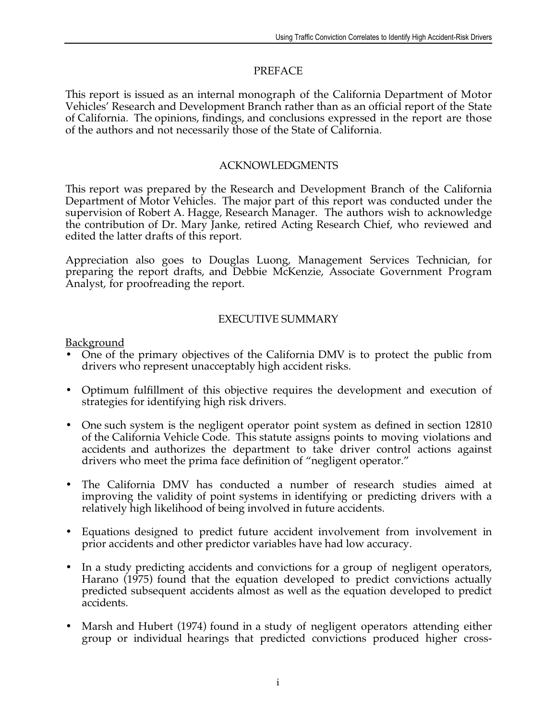## PREFACE

This report is issued as an internal monograph of the California Department of Motor Vehicles' Research and Development Branch rather than as an official report of the State of California. The opinions, findings, and conclusions expressed in the report are those of the authors and not necessarily those of the State of California.

## ACKNOWLEDGMENTS

 This report was prepared by the Research and Development Branch of the California Department of Motor Vehicles. The major part of this report was conducted under the supervision of Robert A. Hagge, Research Manager. The authors wish to acknowledge the contribution of Dr. Mary Janke, retired Acting Research Chief, who reviewed and edited the latter drafts of this report.

Appreciation also goes to Douglas Luong, Management Services Technician, for preparing the report drafts, and Debbie McKenzie, Associate Government Program Analyst, for proofreading the report.

## EXECUTIVE SUMMARY

**Background** 

- • One of the primary objectives of the California DMV is to protect the public from drivers who represent unacceptably high accident risks.
- Optimum fulfillment of this objective requires the development and execution of strategies for identifying high risk drivers.
- One such system is the negligent operator point system as defined in section 12810 of the California Vehicle Code. This statute assigns points to moving violations and accidents and authorizes the department to take driver control actions against drivers who meet the prima face definition of "negligent operator."
- The California DMV has conducted a number of research studies aimed at improving the validity of point systems in identifying or predicting drivers with a relatively high likelihood of being involved in future accidents.
- Equations designed to predict future accident involvement from involvement in prior accidents and other predictor variables have had low accuracy.
- In a study predicting accidents and convictions for a group of negligent operators, Harano (1975) found that the equation developed to predict convictions actually predicted subsequent accidents almost as well as the equation developed to predict accidents.
- Marsh and Hubert (1974) found in a study of negligent operators attending either group or individual hearings that predicted convictions produced higher cross-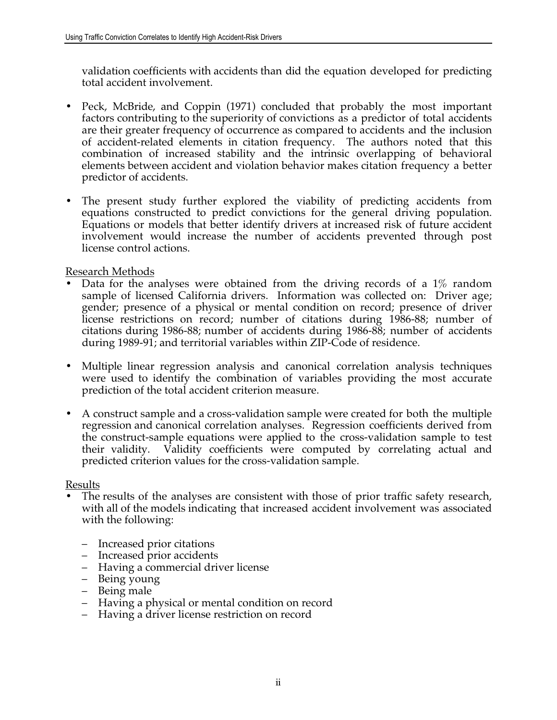validation coefficients with accidents than did the equation developed for predicting total accident involvement.

- Peck, McBride, and Coppin (1971) concluded that probably the most important factors contributing to the superiority of convictions as a predictor of total accidents are their greater frequency of occurrence as compared to accidents and the inclusion of accident-related elements in citation frequency. The authors noted that this combination of increased stability and the intrinsic overlapping of behavioral elements between accident and violation behavior makes citation frequency a better predictor of accidents.
- The present study further explored the viability of predicting accidents from equations constructed to predict convictions for the general driving population. Equations or models that better identify drivers at increased risk of future accident involvement would increase the number of accidents prevented through post license control actions.

## Research Methods

- license restrictions on record; number of citations during 1986-88; number of Data for the analyses were obtained from the driving records of a  $1\%$  random sample of licensed California drivers. Information was collected on: Driver age; gender; presence of a physical or mental condition on record; presence of driver citations during 1986-88; number of accidents during 1986-88; number of accidents during 1989-91; and territorial variables within ZIP-Code of residence.
- Multiple linear regression analysis and canonical correlation analysis techniques were used to identify the combination of variables providing the most accurate prediction of the total accident criterion measure.
- A construct sample and a cross-validation sample were created for both the multiple regression and canonical correlation analyses. Regression coefficients derived from the construct-sample equations were applied to the cross-validation sample to test their validity. Validity coefficients were computed by correlating actual and predicted criterion values for the cross-validation sample.

## Results

- • The results of the analyses are consistent with those of prior traffic safety research, with all of the models indicating that increased accident involvement was associated with the following:
	- Increased prior citations
	- Increased prior accidents
	- Having a commercial driver license
	- Being young
	- Being male
	- Having a physical or mental condition on record
	- Having a driver license restriction on record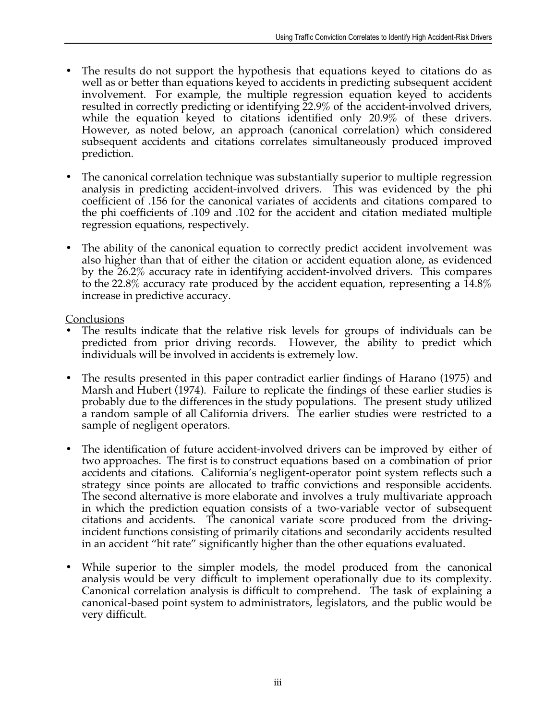- The results do not support the hypothesis that equations keyed to citations do as well as or better than equations keyed to accidents in predicting subsequent accident involvement. For example, the multiple regression equation keyed to accidents resulted in correctly predicting or identifying 22.9% of the accident-involved drivers, while the equation keyed to citations identified only 20.9% of these drivers. However, as noted below, an approach (canonical correlation) which considered subsequent accidents and citations correlates simultaneously produced improved prediction.
- analysis in predicting accident-involved drivers. This was evidenced by the phi • The canonical correlation technique was substantially superior to multiple regression coefficient of .156 for the canonical variates of accidents and citations compared to the phi coefficients of .109 and .102 for the accident and citation mediated multiple regression equations, respectively.
- The ability of the canonical equation to correctly predict accident involvement was also higher than that of either the citation or accident equation alone, as evidenced by the 26.2% accuracy rate in identifying accident-involved drivers. This compares to the 22.8% accuracy rate produced by the accident equation, representing a 14.8% increase in predictive accuracy.

## **Conclusions**

- The results indicate that the relative risk levels for groups of individuals can be predicted from prior driving records. However, the ability to predict which individuals will be involved in accidents is extremely low.
- The results presented in this paper contradict earlier findings of Harano (1975) and Marsh and Hubert (1974). Failure to replicate the findings of these earlier studies is probably due to the differences in the study populations. The present study utilized a random sample of all California drivers. The earlier studies were restricted to a sample of negligent operators.
- The identification of future accident-involved drivers can be improved by either of two approaches. The first is to construct equations based on a combination of prior accidents and citations. California's negligent-operator point system reflects such a strategy since points are allocated to traffic convictions and responsible accidents. The second alternative is more elaborate and involves a truly multivariate approach in which the prediction equation consists of a two-variable vector of subsequent citations and accidents. The canonical variate score produced from the drivingincident functions consisting of primarily citations and secondarily accidents resulted in an accident "hit rate" significantly higher than the other equations evaluated.
- While superior to the simpler models, the model produced from the canonical analysis would be very difficult to implement operationally due to its complexity. Canonical correlation analysis is difficult to comprehend. The task of explaining a canonical-based point system to administrators, legislators, and the public would be very difficult.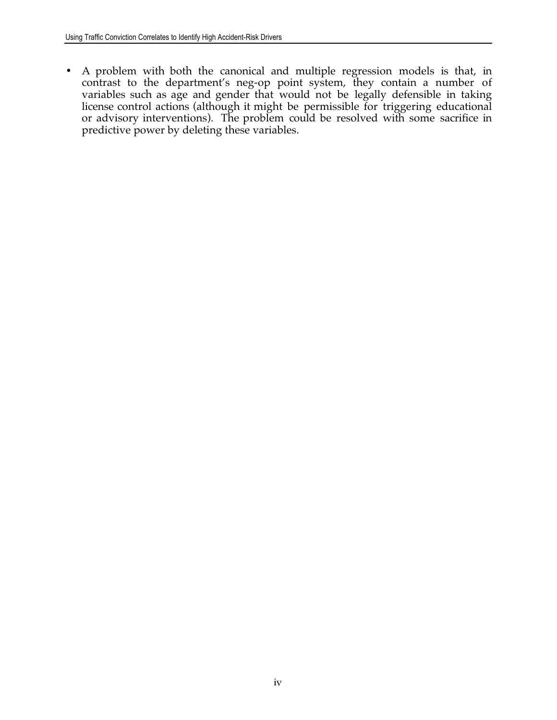• A problem with both the canonical and multiple regression models is that, in contrast to the department's neg-op point system, they contain a number of variables such as age and gender that would not be legally defensible in taking license control actions (although it might be permissible for triggering educational or advisory interventions). The problem could be resolved with some sacrifice in predictive power by deleting these variables.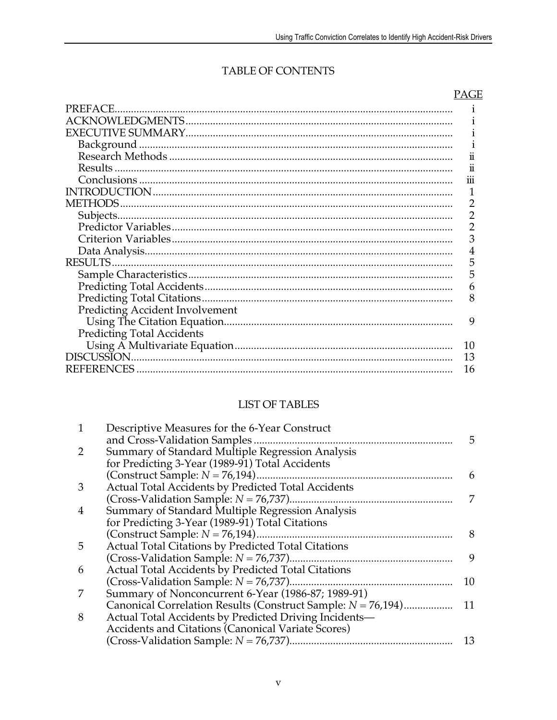# TABLE OF CONTENTS

#### **PAGE**

| <b>PREFACE</b>                         |                     |
|----------------------------------------|---------------------|
|                                        |                     |
|                                        |                     |
|                                        |                     |
|                                        | ü                   |
|                                        | $\ddot{\mathbf{i}}$ |
|                                        | 111                 |
|                                        |                     |
| <b>METHODS</b>                         |                     |
|                                        | $\overline{2}$      |
|                                        |                     |
|                                        | 3                   |
|                                        |                     |
|                                        | 5                   |
|                                        | 5                   |
|                                        | 6                   |
|                                        | 8                   |
| <b>Predicting Accident Involvement</b> |                     |
|                                        | 9                   |
| <b>Predicting Total Accidents</b>      |                     |
|                                        | 10                  |
| <b>DISCUSSION</b>                      | 13                  |
| <b>REFERENCES</b>                      | 16                  |
|                                        |                     |

## **LIST OF TABLES**

| Descriptive Measures for the 6-Year Construct              |                                                                                                                                                                                                                                                                                       |
|------------------------------------------------------------|---------------------------------------------------------------------------------------------------------------------------------------------------------------------------------------------------------------------------------------------------------------------------------------|
| and Cross-Validation Samples                               | 5                                                                                                                                                                                                                                                                                     |
|                                                            |                                                                                                                                                                                                                                                                                       |
|                                                            |                                                                                                                                                                                                                                                                                       |
|                                                            | 6                                                                                                                                                                                                                                                                                     |
|                                                            |                                                                                                                                                                                                                                                                                       |
|                                                            | 7                                                                                                                                                                                                                                                                                     |
|                                                            |                                                                                                                                                                                                                                                                                       |
| for Predicting 3-Year (1989-91) Total Citations            |                                                                                                                                                                                                                                                                                       |
|                                                            | 8                                                                                                                                                                                                                                                                                     |
| <b>Actual Total Citations by Predicted Total Citations</b> |                                                                                                                                                                                                                                                                                       |
| (Cross-Validation Sample: $N = 76,737$ )                   | 9                                                                                                                                                                                                                                                                                     |
| <b>Actual Total Accidents by Predicted Total Citations</b> |                                                                                                                                                                                                                                                                                       |
|                                                            | 10                                                                                                                                                                                                                                                                                    |
| Summary of Nonconcurrent 6-Year (1986-87; 1989-91)         |                                                                                                                                                                                                                                                                                       |
|                                                            | 11                                                                                                                                                                                                                                                                                    |
| Actual Total Accidents by Predicted Driving Incidents—     |                                                                                                                                                                                                                                                                                       |
| Accidents and Citations (Canonical Variate Scores)         |                                                                                                                                                                                                                                                                                       |
|                                                            | 13                                                                                                                                                                                                                                                                                    |
|                                                            | Summary of Standard Multiple Regression Analysis<br>for Predicting 3-Year (1989-91) Total Accidents<br><b>Actual Total Accidents by Predicted Total Accidents</b><br>Summary of Standard Multiple Regression Analysis<br>Canonical Correlation Results (Construct Sample: N = 76,194) |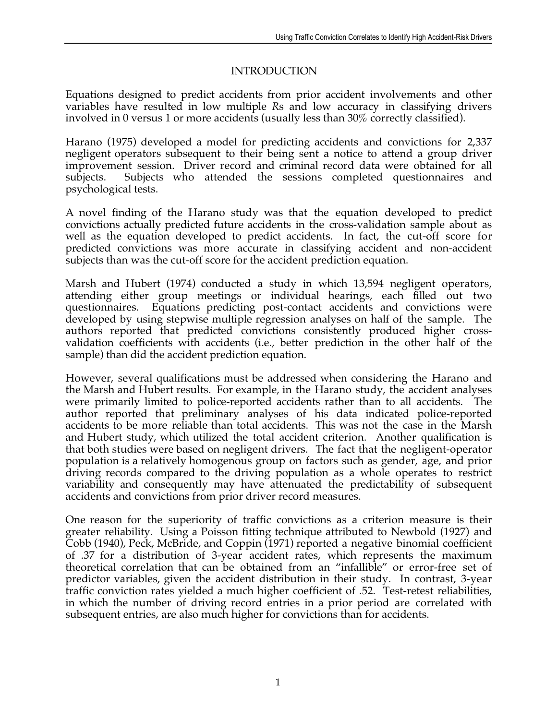## INTRODUCTION

Equations designed to predict accidents from prior accident involvements and other variables have resulted in low multiple *R*s and low accuracy in classifying drivers involved in 0 versus 1 or more accidents (usually less than 30% correctly classified).

Harano (1975) developed a model for predicting accidents and convictions for 2,337 negligent operators subsequent to their being sent a notice to attend a group driver improvement session. Driver record and criminal record data were obtained for all subjects. Subjects who attended the sessions completed questionnaires and psychological tests.

 A novel finding of the Harano study was that the equation developed to predict convictions actually predicted future accidents in the cross-validation sample about as well as the equation developed to predict accidents. In fact, the cut-off score for predicted convictions was more accurate in classifying accident and non-accident subjects than was the cut-off score for the accident prediction equation.

 questionnaires. Equations predicting post-contact accidents and convictions were developed by using stepwise multiple regression analyses on half of the sample. The Marsh and Hubert (1974) conducted a study in which 13,594 negligent operators, attending either group meetings or individual hearings, each filled out two authors reported that predicted convictions consistently produced higher crossvalidation coefficients with accidents (i.e., better prediction in the other half of the sample) than did the accident prediction equation.

 accidents to be more reliable than total accidents. This was not the case in the Marsh that both studies were based on negligent drivers. The fact that the negligent-operator However, several qualifications must be addressed when considering the Harano and the Marsh and Hubert results. For example, in the Harano study, the accident analyses were primarily limited to police-reported accidents rather than to all accidents. The author reported that preliminary analyses of his data indicated police-reported and Hubert study, which utilized the total accident criterion. Another qualification is population is a relatively homogenous group on factors such as gender, age, and prior driving records compared to the driving population as a whole operates to restrict variability and consequently may have attenuated the predictability of subsequent accidents and convictions from prior driver record measures.

One reason for the superiority of traffic convictions as a criterion measure is their greater reliability. Using a Poisson fitting technique attributed to Newbold (1927) and Cobb (1940), Peck, McBride, and Coppin (1971) reported a negative binomial coefficient of .37 for a distribution of 3-year accident rates, which represents the maximum theoretical correlation that can be obtained from an "infallible" or error-free set of predictor variables, given the accident distribution in their study. In contrast, 3-year traffic conviction rates yielded a much higher coefficient of .52. Test-retest reliabilities, in which the number of driving record entries in a prior period are correlated with subsequent entries, are also much higher for convictions than for accidents.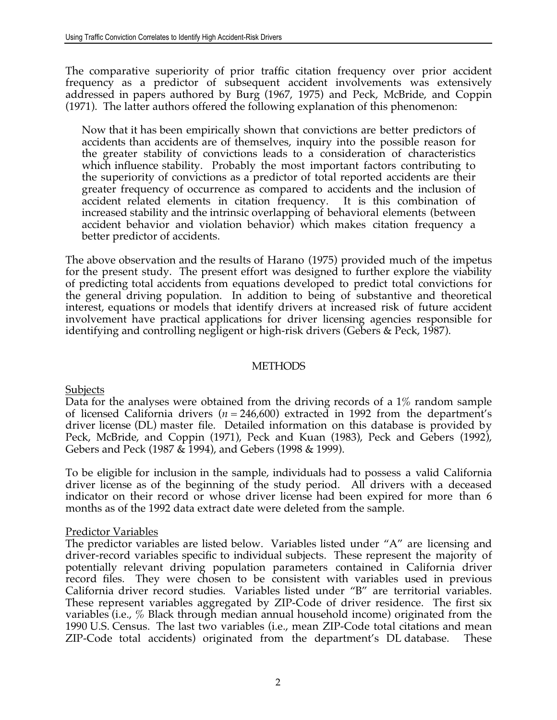The comparative superiority of prior traffic citation frequency over prior accident frequency as a predictor of subsequent accident involvements was extensively addressed in papers authored by Burg (1967, 1975) and Peck, McBride, and Coppin (1971). The latter authors offered the following explanation of this phenomenon:

 accidents than accidents are of themselves, inquiry into the possible reason for the greater stability of convictions leads to a consideration of characteristics Now that it has been empirically shown that convictions are better predictors of which influence stability. Probably the most important factors contributing to the superiority of convictions as a predictor of total reported accidents are their greater frequency of occurrence as compared to accidents and the inclusion of accident related elements in citation frequency. It is this combination of increased stability and the intrinsic overlapping of behavioral elements (between accident behavior and violation behavior) which makes citation frequency a better predictor of accidents.

The above observation and the results of Harano (1975) provided much of the impetus for the present study. The present effort was designed to further explore the viability of predicting total accidents from equations developed to predict total convictions for the general driving population. In addition to being of substantive and theoretical interest, equations or models that identify drivers at increased risk of future accident involvement have practical applications for driver licensing agencies responsible for identifying and controlling negligent or high-risk drivers (Gebers & Peck, 1987).

## **METHODS**

**Subjects** 

 driver license (DL) master file. Detailed information on this database is provided by Data for the analyses were obtained from the driving records of a 1% random sample of licensed California drivers (*n* = 246,600) extracted in 1992 from the department's Peck, McBride, and Coppin (1971), Peck and Kuan (1983), Peck and Gebers (1992), Gebers and Peck (1987 & 1994), and Gebers (1998 & 1999).

 driver license as of the beginning of the study period. All drivers with a deceased To be eligible for inclusion in the sample, individuals had to possess a valid California indicator on their record or whose driver license had been expired for more than 6 months as of the 1992 data extract date were deleted from the sample.

## Predictor Variables

The predictor variables are listed below. Variables listed under "A" are licensing and driver-record variables specific to individual subjects. These represent the majority of potentially relevant driving population parameters contained in California driver record files. They were chosen to be consistent with variables used in previous California driver record studies. Variables listed under "B" are territorial variables. These represent variables aggregated by ZIP-Code of driver residence. The first six variables (i.e., % Black through median annual household income) originated from the 1990 U.S. Census. The last two variables (i.e., mean ZIP-Code total citations and mean ZIP-Code total accidents) originated from the department's DL database. These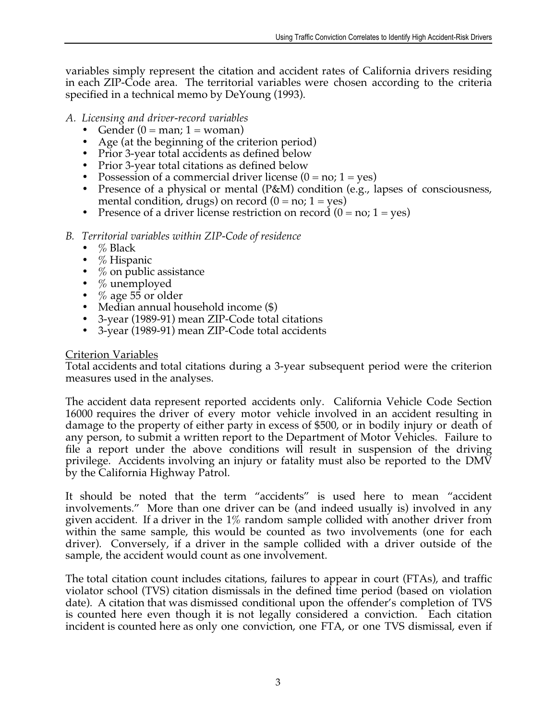variables simply represent the citation and accident rates of California drivers residing in each ZIP-Code area. The territorial variables were chosen according to the criteria specified in a technical memo by DeYoung (1993).

- *A. Licensing and driver-record variables* 
	- Gender  $(0 = \text{man}; 1 = \text{woman})$
	- Age (at the beginning of the criterion period)
	- Prior 3-year total accidents as defined below
	- Prior 3-year total citations as defined below
	- Possession of a commercial driver license  $(0 = no; 1 = yes)$
	- Presence of a physical or mental (P&M) condition (e.g., lapses of consciousness, mental condition, drugs) on record  $(0 = no; 1 = yes)$
	- Presence of a driver license restriction on record  $(0 = no; 1 = yes)$
- *B. Territorial variables within ZIP-Code of residence* 
	- % Black
	- $%$  Hispanic
	- $\%$  on public assistance
	- $\bullet$  % unemployed
	- $\%$  age 55 or older
	- Median annual household income (\$)
	- 3-year (1989-91) mean ZIP-Code total citations
	- 3-year (1989-91) mean ZIP-Code total accidents

## Criterion Variables

Total accidents and total citations during a 3-year subsequent period were the criterion measures used in the analyses.

 file a report under the above conditions will result in suspension of the driving The accident data represent reported accidents only. California Vehicle Code Section 16000 requires the driver of every motor vehicle involved in an accident resulting in damage to the property of either party in excess of \$500, or in bodily injury or death of any person, to submit a written report to the Department of Motor Vehicles. Failure to privilege. Accidents involving an injury or fatality must also be reported to the DMV by the California Highway Patrol.

It should be noted that the term "accidents" is used here to mean "accident involvements." More than one driver can be (and indeed usually is) involved in any given accident. If a driver in the 1% random sample collided with another driver from within the same sample, this would be counted as two involvements (one for each driver). Conversely, if a driver in the sample collided with a driver outside of the sample, the accident would count as one involvement.

 is counted here even though it is not legally considered a conviction. Each citation The total citation count includes citations, failures to appear in court (FTAs), and traffic violator school (TVS) citation dismissals in the defined time period (based on violation date). A citation that was dismissed conditional upon the offender's completion of TVS incident is counted here as only one conviction, one FTA, or one TVS dismissal, even if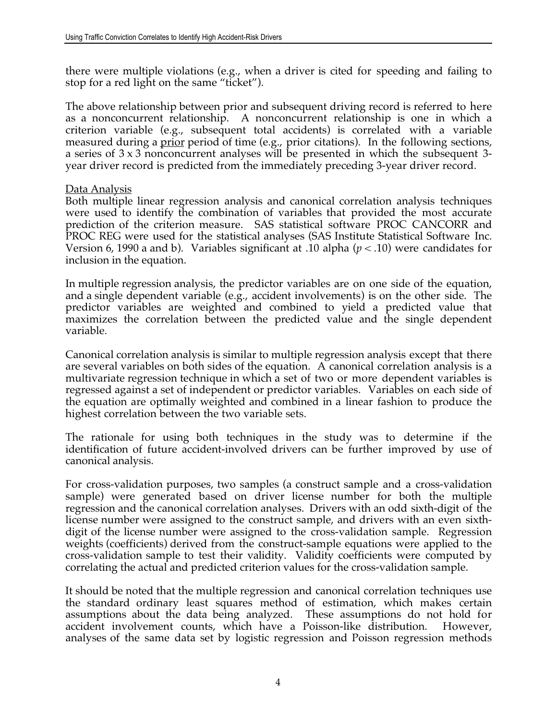there were multiple violations (e.g., when a driver is cited for speeding and failing to stop for a red light on the same "ticket").

 criterion variable (e.g., subsequent total accidents) is correlated with a variable measured during a <u>prior</u> period of time (e.g., prior citations). In the following sections, a series of 3 x 3 nonconcurrent analyses will be presented in which the subsequent 3- The above relationship between prior and subsequent driving record is referred to here as a nonconcurrent relationship. A nonconcurrent relationship is one in which a year driver record is predicted from the immediately preceding 3-year driver record.

## Data Analysis

 prediction of the criterion measure. SAS statistical software PROC CANCORR and Both multiple linear regression analysis and canonical correlation analysis techniques were used to identify the combination of variables that provided the most accurate PROC REG were used for the statistical analyses (SAS Institute Statistical Software Inc. Version 6, 1990 a and b). Variables significant at .10 alpha (*p <* .10) were candidates for inclusion in the equation.

 In multiple regression analysis, the predictor variables are on one side of the equation, and a single dependent variable (e.g., accident involvements) is on the other side. The predictor variables are weighted and combined to yield a predicted value that maximizes the correlation between the predicted value and the single dependent variable.

Canonical correlation analysis is similar to multiple regression analysis except that there are several variables on both sides of the equation. A canonical correlation analysis is a multivariate regression technique in which a set of two or more dependent variables is regressed against a set of independent or predictor variables. Variables on each side of the equation are optimally weighted and combined in a linear fashion to produce the highest correlation between the two variable sets.

The rationale for using both techniques in the study was to determine if the identification of future accident-involved drivers can be further improved by use of canonical analysis.

 license number were assigned to the construct sample, and drivers with an even sixth- digit of the license number were assigned to the cross-validation sample. Regression For cross-validation purposes, two samples (a construct sample and a cross-validation sample) were generated based on driver license number for both the multiple regression and the canonical correlation analyses. Drivers with an odd sixth-digit of the weights (coefficients) derived from the construct-sample equations were applied to the cross-validation sample to test their validity. Validity coefficients were computed by correlating the actual and predicted criterion values for the cross-validation sample.

It should be noted that the multiple regression and canonical correlation techniques use the standard ordinary least squares method of estimation, which makes certain assumptions about the data being analyzed. These assumptions do not hold for accident involvement counts, which have a Poisson-like distribution. However, analyses of the same data set by logistic regression and Poisson regression methods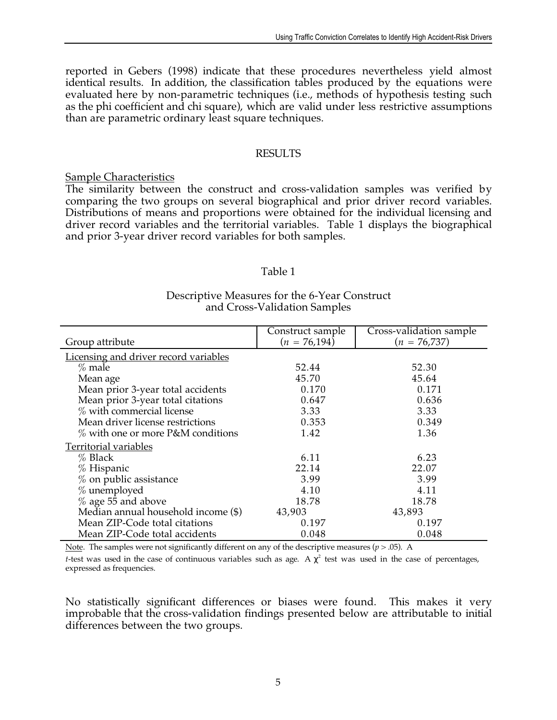reported in Gebers (1998) indicate that these procedures nevertheless yield almost identical results. In addition, the classification tables produced by the equations were evaluated here by non-parametric techniques (i.e., methods of hypothesis testing such as the phi coefficient and chi square), which are valid under less restrictive assumptions than are parametric ordinary least square techniques.

#### RESULTS

#### Sample Characteristics

 The similarity between the construct and cross-validation samples was verified by comparing the two groups on several biographical and prior driver record variables. Distributions of means and proportions were obtained for the individual licensing and driver record variables and the territorial variables. Table 1 displays the biographical and prior 3-year driver record variables for both samples.

#### Table 1

#### Descriptive Measures for the 6-Year Construct and Cross-Validation Samples

| Group attribute                       | Construct sample<br>$(n = 76,194)$ | Cross-validation sample<br>$(n = 76,737)$ |
|---------------------------------------|------------------------------------|-------------------------------------------|
|                                       |                                    |                                           |
| Licensing and driver record variables |                                    |                                           |
| $%$ male                              | 52.44                              | 52.30                                     |
| Mean age                              | 45.70                              | 45.64                                     |
| Mean prior 3-year total accidents     | 0.170                              | 0.171                                     |
| Mean prior 3-year total citations     | 0.647                              | 0.636                                     |
| % with commercial license             | 3.33                               | 3.33                                      |
| Mean driver license restrictions      | 0.353                              | 0.349                                     |
| $\%$ with one or more P&M conditions  | 1.42                               | 1.36                                      |
| <b>Territorial variables</b>          |                                    |                                           |
| $%$ Black                             | 6.11                               | 6.23                                      |
| % Hispanic                            | 22.14                              | 22.07                                     |
| % on public assistance                | 3.99                               | 3.99                                      |
| % unemployed                          | 4.10                               | 4.11                                      |
| $%$ age 55 and above                  | 18.78                              | 18.78                                     |
| Median annual household income (\$)   | 43,903                             | 43,893                                    |
| Mean ZIP-Code total citations         | 0.197                              | 0.197                                     |
| Mean ZIP-Code total accidents         | 0.048                              | 0.048                                     |

Note. The samples were not significantly different on any of the descriptive measures (*p* > .05). A *t*-test was used in the case of continuous variables such as age. A  $\chi^2$  test was used in the case of percentages, expressed as frequencies.

No statistically significant differences or biases were found. This makes it very improbable that the cross-validation findings presented below are attributable to initial differences between the two groups.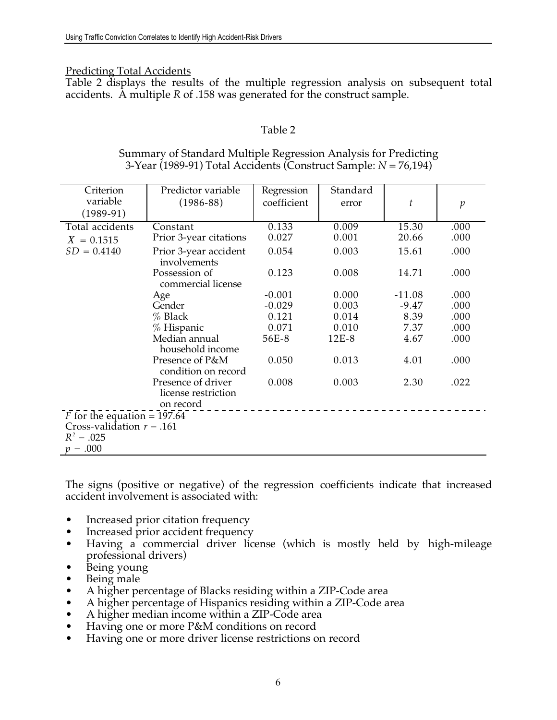### Predicting Total Accidents

Table 2 displays the results of the multiple regression analysis on subsequent total accidents. A multiple *R* of .158 was generated for the construct sample.

#### Table 2

#### Summary of Standard Multiple Regression Analysis for Predicting 3-Year (1989-91) Total Accidents (Construct Sample: *N* = 76,194)

| Criterion<br>variable<br>$(1989-91)$                      | Predictor variable<br>$(1986 - 88)$                    | Regression<br>coefficient | Standard<br>error | t        | $\mathcal{P}$ |
|-----------------------------------------------------------|--------------------------------------------------------|---------------------------|-------------------|----------|---------------|
| Total accidents                                           | Constant                                               | 0.133                     | 0.009             | 15.30    | .000          |
| $X = 0.1515$                                              | Prior 3-year citations                                 | 0.027                     | 0.001             | 20.66    | .000          |
| $SD = 0.4140$                                             | Prior 3-year accident<br>involvements                  | 0.054                     | 0.003             | 15.61    | .000          |
|                                                           | Possession of<br>commercial license                    | 0.123                     | 0.008             | 14.71    | .000          |
|                                                           | Age                                                    | $-0.001$                  | 0.000             | $-11.08$ | .000          |
|                                                           | Gender                                                 | $-0.029$                  | 0.003             | $-9.47$  | .000          |
|                                                           | % Black                                                | 0.121                     | 0.014             | 8.39     | .000          |
|                                                           | % Hispanic                                             | 0.071                     | 0.010             | 7.37     | .000          |
|                                                           | Median annual<br>household income                      | 56E-8                     | 12E-8             | 4.67     | .000          |
|                                                           | Presence of P&M<br>condition on record                 | 0.050                     | 0.013             | 4.01     | .000          |
|                                                           | Presence of driver<br>license restriction<br>on record | 0.008                     | 0.003             | 2.30     | .022          |
| <i>F</i> for the equation = $197.64$                      |                                                        |                           |                   |          |               |
| Cross-validation $r = .161$<br>$R^2 = .025$<br>$p = .000$ |                                                        |                           |                   |          |               |

The signs (positive or negative) of the regression coefficients indicate that increased accident involvement is associated with:

- Increased prior citation frequency
- Increased prior accident frequency
- Having a commercial driver license (which is mostly held by high-mileage professional drivers)
- Being young
- Being male
- A higher percentage of Blacks residing within a ZIP-Code area
- A higher percentage of Hispanics residing within a ZIP-Code area
- A higher median income within a ZIP-Code area
- Having one or more P&M conditions on record
- Having one or more driver license restrictions on record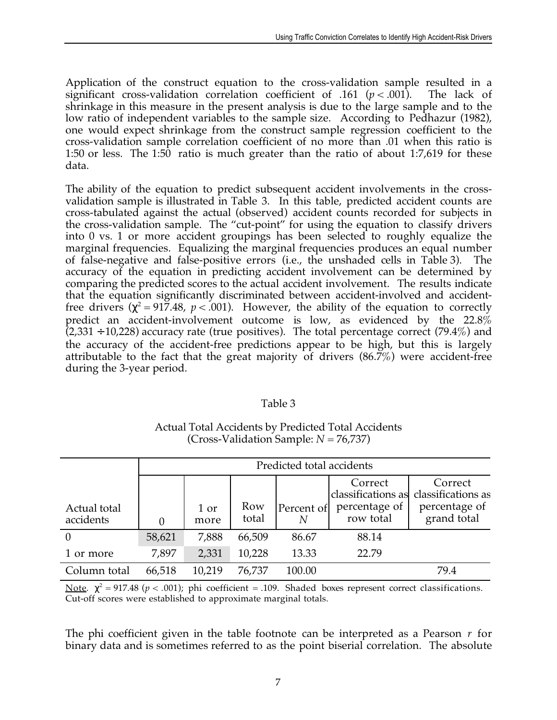shrinkage in this measure in the present analysis is due to the large sample and to the Application of the construct equation to the cross-validation sample resulted in a significant cross-validation correlation coefficient of .161 (*p* < .001). The lack of low ratio of independent variables to the sample size. According to Pedhazur (1982), one would expect shrinkage from the construct sample regression coefficient to the cross-validation sample correlation coefficient of no more than .01 when this ratio is 1:50 or less. The 1:50 ratio is much greater than the ratio of about 1:7,619 for these data.

 The ability of the equation to predict subsequent accident involvements in the cross- accuracy of the equation in predicting accident involvement can be determined by the accuracy of the accident-free predictions appear to be high, but this is largely validation sample is illustrated in Table 3. In this table, predicted accident counts are cross-tabulated against the actual (observed) accident counts recorded for subjects in the cross-validation sample. The "cut-point" for using the equation to classify drivers into 0 vs. 1 or more accident groupings has been selected to roughly equalize the marginal frequencies. Equalizing the marginal frequencies produces an equal number of false-negative and false-positive errors (i.e., the unshaded cells in Table 3). The comparing the predicted scores to the actual accident involvement. The results indicate that the equation significantly discriminated between accident-involved and accidentfree drivers ( $\chi^2$  = 917.48,  $p < .001$ ). However, the ability of the equation to correctly predict an accident-involvement outcome is low, as evidenced by the 22.8%  $(2,331 \div 10,228)$  accuracy rate (true positives). The total percentage correct (79.4%) and attributable to the fact that the great majority of drivers (86.7%) were accident-free during the 3-year period.

## Table 3

|                           | Predicted total accidents |              |              |                 |                                       |                                                                                  |  |  |  |  |
|---------------------------|---------------------------|--------------|--------------|-----------------|---------------------------------------|----------------------------------------------------------------------------------|--|--|--|--|
| Actual total<br>accidents | $\Omega$                  | 1 or<br>more | Row<br>total | Percent of<br>N | Correct<br>percentage of<br>row total | Correct<br>classifications as classifications as<br>percentage of<br>grand total |  |  |  |  |
|                           | 58,621                    | 7,888        | 66,509       | 86.67           | 88.14                                 |                                                                                  |  |  |  |  |
| 1 or more                 | 7,897                     | 2,331        | 10,228       | 13.33           | 22.79                                 |                                                                                  |  |  |  |  |
| Column total              | 66,518                    | 10,219       | 76,737       | 100.00          |                                       | 79.4                                                                             |  |  |  |  |

Actual Total Accidents by Predicted Total Accidents (Cross-Validation Sample: *N* = 76,737)

Note.  $\chi^2$  = 917.48 ( $p < .001$ ); phi coefficient = .109. Shaded boxes represent correct classifications. Cut-off scores were established to approximate marginal totals.

The phi coefficient given in the table footnote can be interpreted as a Pearson *r* for binary data and is sometimes referred to as the point biserial correlation. The absolute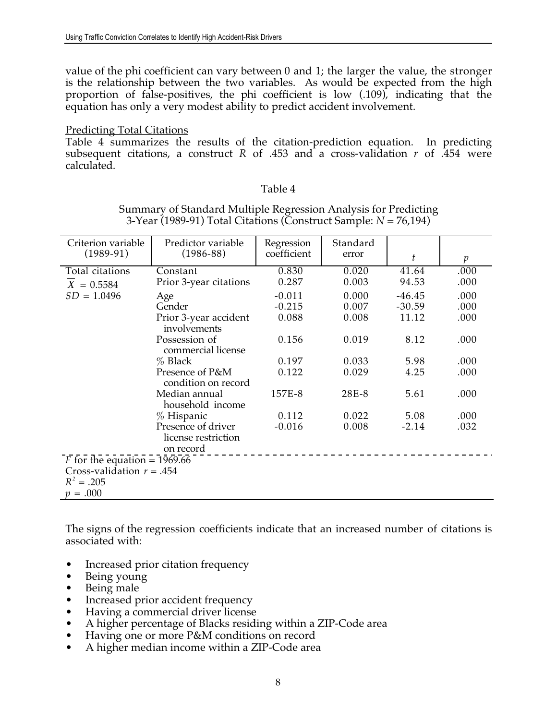value of the phi coefficient can vary between 0 and 1; the larger the value, the stronger is the relationship between the two variables. As would be expected from the high proportion of false-positives, the phi coefficient is low (.109), indicating that the equation has only a very modest ability to predict accident involvement.

Predicting Total Citations

Table 4 summarizes the results of the citation-prediction equation. In predicting subsequent citations, a construct *R* of .453 and a cross-validation *r*  of .454 were calculated.

#### Table 4

| Criterion variable<br>$(1989-91)$     | Predictor variable<br>$(1986 - 88)$                    | Regression<br>coefficient | Standard<br>error | t        |                |
|---------------------------------------|--------------------------------------------------------|---------------------------|-------------------|----------|----------------|
|                                       |                                                        |                           |                   |          | $\mathfrak{p}$ |
| Total citations                       | Constant                                               | 0.830                     | 0.020             | 41.64    | .000           |
| $X = 0.5584$                          | Prior 3-year citations                                 | 0.287                     | 0.003             | 94.53    | .000           |
| $SD = 1.0496$                         | Age                                                    | $-0.011$                  | 0.000             | $-46.45$ | .000           |
|                                       | Gender                                                 | $-0.215$                  | 0.007             | $-30.59$ | .000           |
|                                       | Prior 3-year accident<br>involvements                  | 0.088                     | 0.008             | 11.12    | .000           |
|                                       | Possession of<br>commercial license                    | 0.156                     | 0.019             | 8.12     | .000           |
|                                       | $%$ Black                                              | 0.197                     | 0.033             | 5.98     | .000           |
|                                       | Presence of P&M<br>condition on record                 | 0.122                     | 0.029             | 4.25     | .000           |
|                                       | Median annual<br>household income                      | 157E-8                    | 28E-8             | 5.61     | .000           |
|                                       | $%$ Hispanic                                           | 0.112                     | 0.022             | 5.08     | .000           |
|                                       | Presence of driver<br>license restriction<br>on record | $-0.016$                  | 0.008             | $-2.14$  | .032           |
| <i>F</i> for the equation = $1969.66$ |                                                        |                           |                   |          |                |
| Cross-validation $r = .454$           |                                                        |                           |                   |          |                |
| $R^2 = .205$                          |                                                        |                           |                   |          |                |
| .000<br>$\qquad \qquad =$             |                                                        |                           |                   |          |                |

#### Summary of Standard Multiple Regression Analysis for Predicting 3-Year (1989-91) Total Citations (Construct Sample: *N* = 76,194)

The signs of the regression coefficients indicate that an increased number of citations is associated with:

- Increased prior citation frequency
- Being young
- Being male
- Increased prior accident frequency
- Having a commercial driver license
- A higher percentage of Blacks residing within a ZIP-Code area
- Having one or more P&M conditions on record
- A higher median income within a ZIP-Code area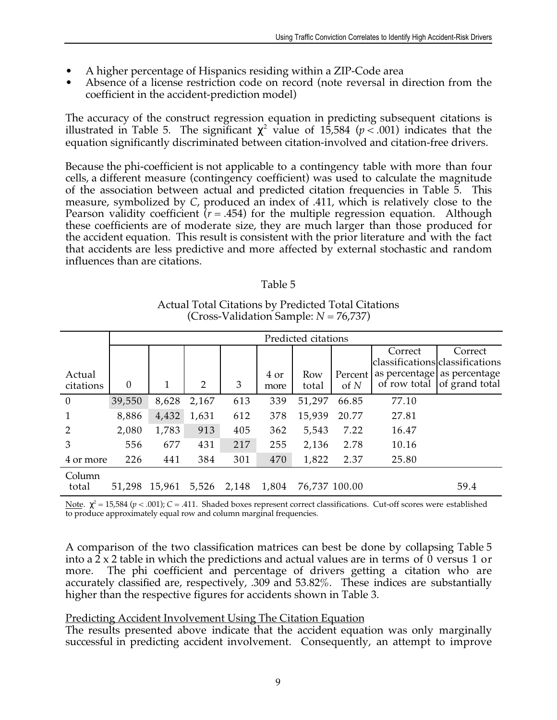- A higher percentage of Hispanics residing within a ZIP-Code area
- Absence of a license restriction code on record (note reversal in direction from the coefficient in the accident-prediction model)

 The accuracy of the construct regression equation in predicting subsequent citations is illustrated in Table 5. The significant  $\chi^2$  value of 15,584 ( $p < .001$ ) indicates that the equation significantly discriminated between citation-involved and citation-free drivers.

 Because the phi-coefficient is not applicable to a contingency table with more than four of the association between actual and predicted citation frequencies in Table 5. This cells, a different measure (contingency coefficient) was used to calculate the magnitude measure, symbolized by *C*, produced an index of .411, which is relatively close to the Pearson validity coefficient  $(r = .454)$  for the multiple regression equation. Although these coefficients are of moderate size, they are much larger than those produced for the accident equation. This result is consistent with the prior literature and with the fact that accidents are less predictive and more affected by external stochastic and random influences than are citations.

| able |  |
|------|--|
|------|--|

#### Actual Total Citations by Predicted Total Citations (Cross-Validation Sample: *N* = 76,737)

|                     |              | Predicted citations |                |       |              |               |                 |              |                                               |  |  |  |
|---------------------|--------------|---------------------|----------------|-------|--------------|---------------|-----------------|--------------|-----------------------------------------------|--|--|--|
|                     |              |                     |                |       |              |               |                 | Correct      | Correct                                       |  |  |  |
|                     |              |                     |                |       |              |               |                 |              | classifications classifications               |  |  |  |
| Actual<br>citations | $\mathbf{0}$ | 1                   | $\overline{2}$ | 3     | 4 or<br>more | Row<br>total  | Percent<br>of N | of row total | as percentage as percentage<br>of grand total |  |  |  |
| $\overline{0}$      | 39,550       | 8,628               | 2,167          | 613   | 339          | 51,297        | 66.85           | 77.10        |                                               |  |  |  |
|                     | 8,886        | 4,432               | 1,631          | 612   | 378          | 15,939        | 20.77           | 27.81        |                                               |  |  |  |
| 2                   | 2,080        | 1,783               | 913            | 405   | 362          | 5,543         | 7.22            | 16.47        |                                               |  |  |  |
| $\mathfrak{Z}$      | 556          | 677                 | 431            | 217   | 255          | 2,136         | 2.78            | 10.16        |                                               |  |  |  |
| 4 or more           | 226          | 441                 | 384            | 301   | 470          | 1,822         | 2.37            | 25.80        |                                               |  |  |  |
| Column<br>total     | 51,298       | 15,961              | 5,526          | 2,148 | 1,804        | 76,737 100.00 |                 |              | 59.4                                          |  |  |  |

Note.  $\chi^2$  = 15,584 (*p* < .001); *C* = .411. Shaded boxes represent correct classifications. Cut-off scores were established to produce approximately equal row and column marginal frequencies.

 accurately classified are, respectively, .309 and 53.82%. These indices are substantially A comparison of the two classification matrices can best be done by collapsing Table 5 into a  $2 \times 2$  table in which the predictions and actual values are in terms of 0 versus 1 or more. The phi coefficient and percentage of drivers getting a citation who are higher than the respective figures for accidents shown in Table 3.

#### Predicting Accident Involvement Using The Citation Equation

The results presented above indicate that the accident equation was only marginally successful in predicting accident involvement. Consequently, an attempt to improve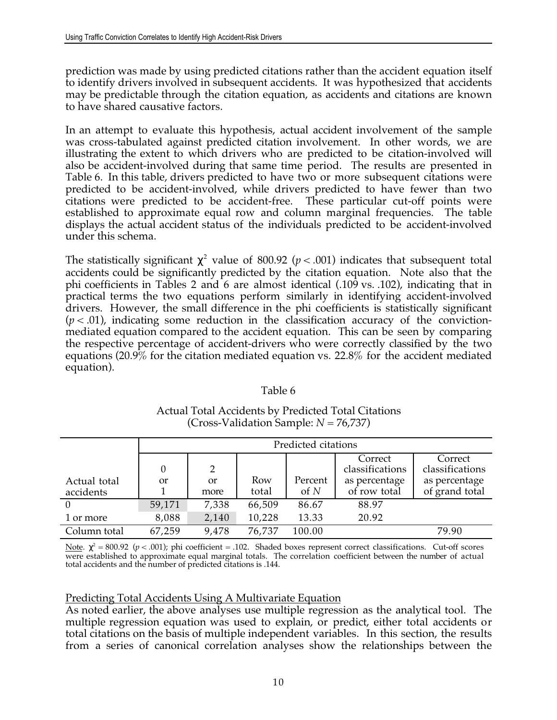prediction was made by using predicted citations rather than the accident equation itself to identify drivers involved in subsequent accidents. It was hypothesized that accidents may be predictable through the citation equation, as accidents and citations are known to have shared causative factors.

 illustrating the extent to which drivers who are predicted to be citation-involved will predicted to be accident-involved, while drivers predicted to have fewer than two citations were predicted to be accident-free. These particular cut-off points were displays the actual accident status of the individuals predicted to be accident-involved In an attempt to evaluate this hypothesis, actual accident involvement of the sample was cross-tabulated against predicted citation involvement. In other words, we are also be accident-involved during that same time period. The results are presented in Table 6. In this table, drivers predicted to have two or more subsequent citations were established to approximate equal row and column marginal frequencies. The table under this schema.

 (*p* < .01), indicating some reduction in the classification accuracy of the conviction- the respective percentage of accident-drivers who were correctly classified by the two The statistically significant  $\chi^2$  value of 800.92 ( $p < .001$ ) indicates that subsequent total accidents could be significantly predicted by the citation equation. Note also that the phi coefficients in Tables 2 and 6 are almost identical (.109 vs. .102), indicating that in practical terms the two equations perform similarly in identifying accident-involved drivers. However, the small difference in the phi coefficients is statistically significant mediated equation compared to the accident equation. This can be seen by comparing equations (20.9% for the citation mediated equation vs. 22.8% for the accident mediated equation).

## Table 6

|                           | Predicted citations |                 |              |                   |                                                             |                                                               |  |  |  |  |
|---------------------------|---------------------|-----------------|--------------|-------------------|-------------------------------------------------------------|---------------------------------------------------------------|--|--|--|--|
| Actual total<br>accidents | <b>or</b>           | 2<br>or<br>more | Row<br>total | Percent<br>of $N$ | Correct<br>classifications<br>as percentage<br>of row total | Correct<br>classifications<br>as percentage<br>of grand total |  |  |  |  |
|                           | 59,171              | 7,338           | 66,509       | 86.67             | 88.97                                                       |                                                               |  |  |  |  |
| 1 or more                 | 8,088               | 2,140           | 10,228       | 13.33             | 20.92                                                       |                                                               |  |  |  |  |
| Column total              | 67,259              | 9,478           | 76,737       | 100.00            |                                                             | 79.90                                                         |  |  |  |  |

Actual Total Accidents by Predicted Total Citations (Cross-Validation Sample: *N* = 76,737)

<u>Note</u>.  $χ² = 800.92$  ( $p < .001$ ); phi coefficient = .102. Shaded boxes represent correct classifications. Cut-off scores were established to approximate equal marginal totals. The correlation coefficient between the number of actual total accidents and the number of predicted citations is .144.

## Predicting Total Accidents Using A Multivariate Equation

As noted earlier, the above analyses use multiple regression as the analytical tool. The multiple regression equation was used to explain, or predict, either total accidents or total citations on the basis of multiple independent variables. In this section, the results from a series of canonical correlation analyses show the relationships between the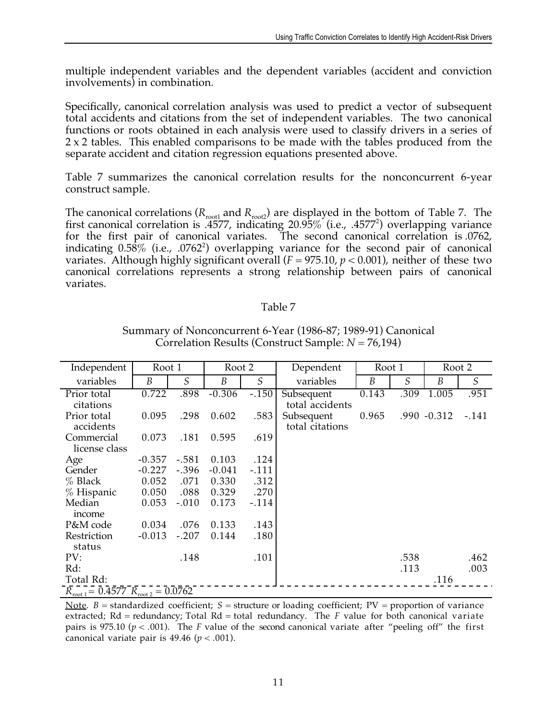multiple independent variables and the dependent variables (accident and conviction involvements) in combination.

 functions or roots obtained in each analysis were used to classify drivers in a series of Specifically, canonical correlation analysis was used to predict a vector of subsequent total accidents and citations from the set of independent variables. The two canonical 2 x 2 tables. This enabled comparisons to be made with the tables produced from the separate accident and citation regression equations presented above.

Table 7 summarizes the canonical correlation results for the nonconcurrent 6-year construct sample.

The canonical correlations  $(R_{\text{root1}}$  and  $R_{\text{root2}}$ ) are displayed in the bottom of Table 7. The first canonical correlation is .4577, indicating 20.95% (i.e., .4577<sup>2</sup> ) overlapping variance for the first pair of canonical variates. The second canonical correlation is .0762, indicating  $0.58\%$  (i.e., .0762<sup>2</sup>) overlapping variance for the second pair of canonical variates. Although highly significant overall  $(F = 975.10, p < 0.001)$ , neither of these two canonical correlations represents a strong relationship between pairs of canonical variates.

#### Table 7

| Independent                                         | Root 1   |         | Root 2   |         | Dependent       | Root 1 |      | Root 2         |         |
|-----------------------------------------------------|----------|---------|----------|---------|-----------------|--------|------|----------------|---------|
| variables                                           | B        | S       | B        | S       | variables       | B      | S    | B              | $S_{-}$ |
| Prior total                                         | 0.722    | .898    | $-0.306$ | $-.150$ | Subsequent      | 0.143  | .309 | 1.005          | .951    |
| citations                                           |          |         |          |         | total accidents |        |      |                |         |
| Prior total                                         | 0.095    | .298    | 0.602    | .583    | Subsequent      | 0.965  |      | $.990 - 0.312$ | $-.141$ |
| accidents                                           |          |         |          |         | total citations |        |      |                |         |
| Commercial                                          | 0.073    | .181    | 0.595    | .619    |                 |        |      |                |         |
| license class                                       |          |         |          |         |                 |        |      |                |         |
| Age                                                 | $-0.357$ | $-.581$ | 0.103    | .124    |                 |        |      |                |         |
| Gender                                              | $-0.227$ | $-.396$ | $-0.041$ | $-.111$ |                 |        |      |                |         |
| % Black                                             | 0.052    | .071    | 0.330    | .312    |                 |        |      |                |         |
| $%$ Hispanic                                        | 0.050    | .088    | 0.329    | .270    |                 |        |      |                |         |
| Median                                              | 0.053    | $-.010$ | 0.173    | $-.114$ |                 |        |      |                |         |
| income                                              |          |         |          |         |                 |        |      |                |         |
| P&M code                                            | 0.034    | .076    | 0.133    | .143    |                 |        |      |                |         |
| Restriction                                         | $-0.013$ | $-.207$ | 0.144    | .180    |                 |        |      |                |         |
| status                                              |          |         |          |         |                 |        |      |                |         |
| PV:                                                 |          | .148    |          | .101    |                 |        | .538 |                | .462    |
| Rd:                                                 |          |         |          |         |                 |        | .113 |                | .003    |
| Total Rd:                                           |          |         |          |         |                 |        |      | .116           |         |
| $R_{\text{root}} = 0.4577 R_{\text{root}} = 0.0762$ |          |         |          |         |                 |        |      |                |         |

Summary of Nonconcurrent 6-Year (1986-87; 1989-91) Canonical Correlation Results (Construct Sample: *N* = 76,194)

 Note. *B* = standardized coefficient; *S* = structure or loading coefficient; PV = proportion of variance extracted; Rd = redundancy; Total Rd = total redundancy. The *F* value for both canonical variate pairs is 975.10 (*p < .*001). The *F* value of the second canonical variate after "peeling off" the first canonical variate pair is  $49.46$  ( $p < .001$ ).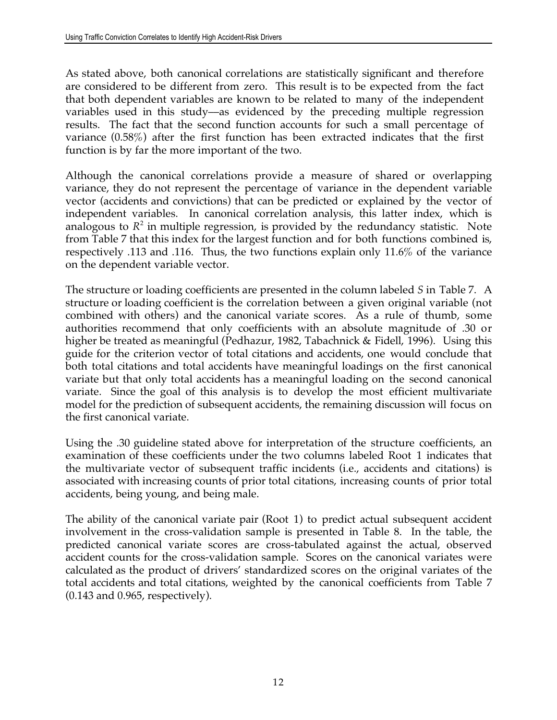As stated above, both canonical correlations are statistically significant and therefore are considered to be different from zero. This result is to be expected from the fact that both dependent variables are known to be related to many of the independent variables used in this study––as evidenced by the preceding multiple regression results. The fact that the second function accounts for such a small percentage of variance (0.58%) after the first function has been extracted indicates that the first function is by far the more important of the two.

 vector (accidents and convictions) that can be predicted or explained by the vector of Although the canonical correlations provide a measure of shared or overlapping variance, they do not represent the percentage of variance in the dependent variable independent variables. In canonical correlation analysis, this latter index, which is analogous to  $R^2$  in multiple regression, is provided by the redundancy statistic. Note from Table 7 that this index for the largest function and for both functions combined is, respectively .113 and .116. Thus, the two functions explain only 11.6% of the variance on the dependent variable vector.

 combined with others) and the canonical variate scores. As a rule of thumb, some variate but that only total accidents has a meaningful loading on the second canonical variate. Since the goal of this analysis is to develop the most efficient multivariate The structure or loading coefficients are presented in the column labeled *S* in Table 7. A structure or loading coefficient is the correlation between a given original variable (not authorities recommend that only coefficients with an absolute magnitude of .30 or higher be treated as meaningful (Pedhazur, 1982, Tabachnick & Fidell, 1996). Using this guide for the criterion vector of total citations and accidents, one would conclude that both total citations and total accidents have meaningful loadings on the first canonical model for the prediction of subsequent accidents, the remaining discussion will focus on the first canonical variate.

Using the .30 guideline stated above for interpretation of the structure coefficients, an examination of these coefficients under the two columns labeled Root 1 indicates that the multivariate vector of subsequent traffic incidents (i.e., accidents and citations) is associated with increasing counts of prior total citations, increasing counts of prior total accidents, being young, and being male.

The ability of the canonical variate pair (Root 1) to predict actual subsequent accident involvement in the cross-validation sample is presented in Table 8. In the table, the predicted canonical variate scores are cross-tabulated against the actual, observed accident counts for the cross-validation sample. Scores on the canonical variates were calculated as the product of drivers' standardized scores on the original variates of the total accidents and total citations, weighted by the canonical coefficients from Table 7 (0.143 and 0.965, respectively).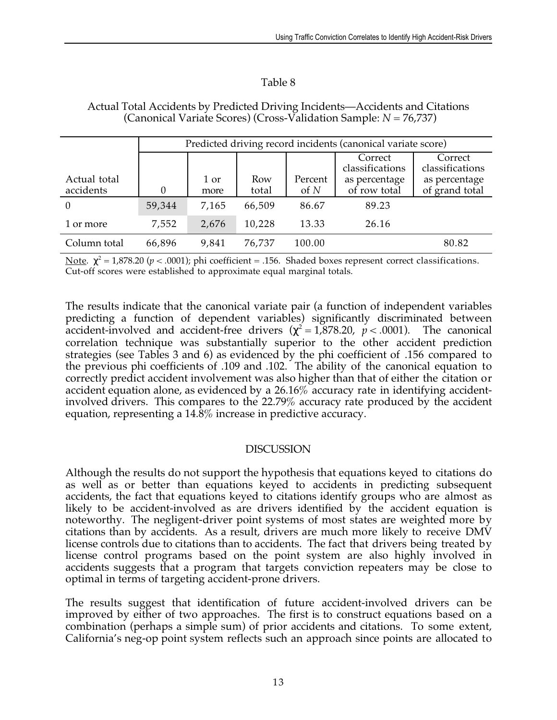## Table 8

|              | Predicted driving record incidents (canonical variate score) |       |        |         |                            |                            |  |  |  |  |
|--------------|--------------------------------------------------------------|-------|--------|---------|----------------------------|----------------------------|--|--|--|--|
|              |                                                              |       |        |         | Correct<br>classifications | Correct<br>classifications |  |  |  |  |
| Actual total |                                                              | 1 or  | Row    | Percent | as percentage              | as percentage              |  |  |  |  |
| accidents    |                                                              | more  | total  | of N    | of row total               | of grand total             |  |  |  |  |
| $\theta$     | 59,344                                                       | 7,165 | 66,509 | 86.67   | 89.23                      |                            |  |  |  |  |
| 1 or more    | 7,552                                                        | 2,676 | 10,228 | 13.33   | 26.16                      |                            |  |  |  |  |
| Column total | 66,896                                                       | 9,841 | 76,737 | 100.00  |                            | 80.82                      |  |  |  |  |

### Actual Total Accidents by Predicted Driving Incidents—Accidents and Citations (Canonical Variate Scores) (Cross-Validation Sample: *N* = 76,737)

<u>Note</u>.  $\chi^2$  = [1,878.20](https://1,878.20) (*p* < .0001); phi coefficient = .156. Shaded boxes represent correct classifications. Cut-off scores were established to approximate equal marginal totals.

The results indicate that the canonical variate pair (a function of independent variables predicting a function of dependent variables) significantly discriminated between accident-involved and accident-free drivers  $(\chi^2 = 1.878.20, p < .0001)$ . The canonical correlation technique was substantially superior to the other accident prediction strategies (see Tables 3 and 6) as evidenced by the phi coefficient of .156 compared to the previous phi coefficients of .109 and .102. The ability of the canonical equation to correctly predict accident involvement was also higher than that of either the citation or accident equation alone, as evidenced by a 26.16% accuracy rate in identifying accidentinvolved drivers. This compares to the 22.79% accuracy rate produced by the accident equation, representing a 14.8% increase in predictive accuracy.

## DISCUSSION

 as well as or better than equations keyed to accidents in predicting subsequent likely to be accident-involved as are drivers identified by the accident equation is Although the results do not support the hypothesis that equations keyed to citations do accidents, the fact that equations keyed to citations identify groups who are almost as noteworthy. The negligent-driver point systems of most states are weighted more by citations than by accidents. As a result, drivers are much more likely to receive DMV license controls due to citations than to accidents. The fact that drivers being treated by license control programs based on the point system are also highly involved in accidents suggests that a program that targets conviction repeaters may be close to optimal in terms of targeting accident-prone drivers.

The results suggest that identification of future accident-involved drivers can be improved by either of two approaches. The first is to construct equations based on a combination (perhaps a simple sum) of prior accidents and citations. To some extent, California's neg-op point system reflects such an approach since points are allocated to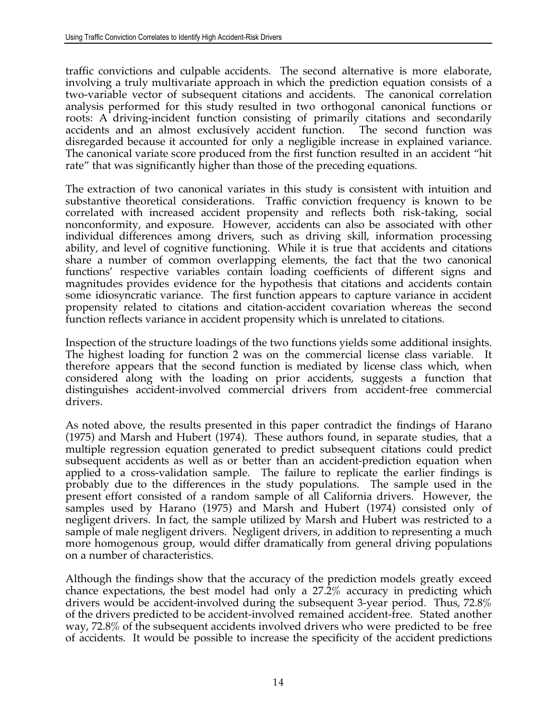traffic convictions and culpable accidents. The second alternative is more elaborate, involving a truly multivariate approach in which the prediction equation consists of a two-variable vector of subsequent citations and accidents. The canonical correlation analysis performed for this study resulted in two orthogonal canonical functions or roots: A driving-incident function consisting of primarily citations and secondarily accidents and an almost exclusively accident function. The second function was disregarded because it accounted for only a negligible increase in explained variance. The canonical variate score produced from the first function resulted in an accident "hit rate" that was significantly higher than those of the preceding equations.

The extraction of two canonical variates in this study is consistent with intuition and substantive theoretical considerations. Traffic conviction frequency is known to be correlated with increased accident propensity and reflects both risk-taking, social nonconformity, and exposure. However, accidents can also be associated with other individual differences among drivers, such as driving skill, information processing ability, and level of cognitive functioning. While it is true that accidents and citations share a number of common overlapping elements, the fact that the two canonical functions' respective variables contain loading coefficients of different signs and magnitudes provides evidence for the hypothesis that citations and accidents contain some idiosyncratic variance. The first function appears to capture variance in accident propensity related to citations and citation-accident covariation whereas the second function reflects variance in accident propensity which is unrelated to citations.

Inspection of the structure loadings of the two functions yields some additional insights. The highest loading for function 2 was on the commercial license class variable. It therefore appears that the second function is mediated by license class which, when considered along with the loading on prior accidents, suggests a function that distinguishes accident-involved commercial drivers from accident-free commercial drivers.

 applied to a cross-validation sample. The failure to replicate the earlier findings is As noted above, the results presented in this paper contradict the findings of Harano (1975) and Marsh and Hubert (1974). These authors found, in separate studies, that a multiple regression equation generated to predict subsequent citations could predict subsequent accidents as well as or better than an accident-prediction equation when probably due to the differences in the study populations. The sample used in the present effort consisted of a random sample of all California drivers. However, the samples used by Harano (1975) and Marsh and Hubert (1974) consisted only of negligent drivers. In fact, the sample utilized by Marsh and Hubert was restricted to a sample of male negligent drivers. Negligent drivers, in addition to representing a much more homogenous group, would differ dramatically from general driving populations on a number of characteristics.

 way, 72.8% of the subsequent accidents involved drivers who were predicted to be free Although the findings show that the accuracy of the prediction models greatly exceed chance expectations, the best model had only a 27.2% accuracy in predicting which drivers would be accident-involved during the subsequent 3-year period. Thus, 72.8% of the drivers predicted to be accident-involved remained accident-free. Stated another of accidents. It would be possible to increase the specificity of the accident predictions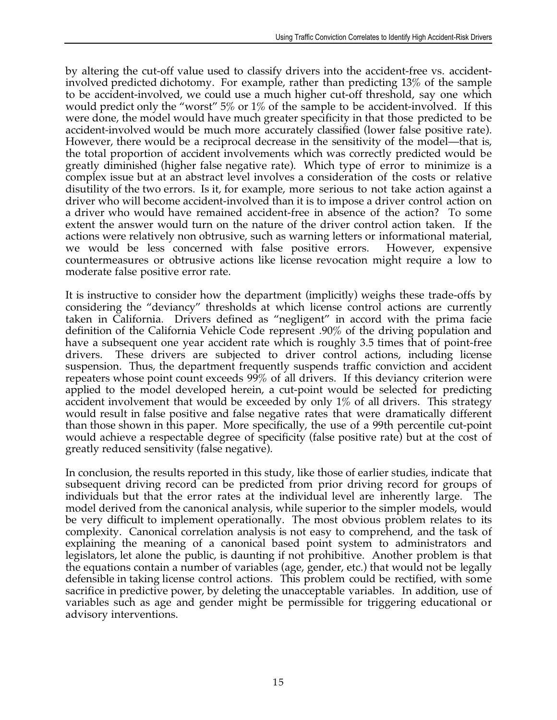would predict only the "worst" 5% or 1% of the sample to be accident-involved. If this by altering the cut-off value used to classify drivers into the accident-free vs. accidentinvolved predicted dichotomy. For example, rather than predicting 13% of the sample to be accident-involved, we could use a much higher cut-off threshold, say one which were done, the model would have much greater specificity in that those predicted to be accident-involved would be much more accurately classified (lower false positive rate). However, there would be a reciprocal decrease in the sensitivity of the model—that is, the total proportion of accident involvements which was correctly predicted would be greatly diminished (higher false negative rate). Which type of error to minimize is a complex issue but at an abstract level involves a consideration of the costs or relative disutility of the two errors. Is it, for example, more serious to not take action against a driver who will become accident-involved than it is to impose a driver control action on a driver who would have remained accident-free in absence of the action? To some extent the answer would turn on the nature of the driver control action taken. If the actions were relatively non obtrusive, such as warning letters or informational material, we would be less concerned with false positive errors. However, expensive countermeasures or obtrusive actions like license revocation might require a low to moderate false positive error rate.

 applied to the model developed herein, a cut-point would be selected for predicting accident involvement that would be exceeded by only 1% of all drivers. This strategy It is instructive to consider how the department (implicitly) weighs these trade-offs by considering the "deviancy" thresholds at which license control actions are currently taken in California. Drivers defined as "negligent" in accord with the prima facie definition of the California Vehicle Code represent .90% of the driving population and have a subsequent one year accident rate which is roughly 3.5 times that of point-free drivers. These drivers are subjected to driver control actions, including license suspension. Thus, the department frequently suspends traffic conviction and accident repeaters whose point count exceeds 99% of all drivers. If this deviancy criterion were would result in false positive and false negative rates that were dramatically different than those shown in this paper. More specifically, the use of a 99th percentile cut-point would achieve a respectable degree of specificity (false positive rate) but at the cost of greatly reduced sensitivity (false negative).

In conclusion, the results reported in this study, like those of earlier studies, indicate that subsequent driving record can be predicted from prior driving record for groups of individuals but that the error rates at the individual level are inherently large. The model derived from the canonical analysis, while superior to the simpler models, would be very difficult to implement operationally. The most obvious problem relates to its complexity. Canonical correlation analysis is not easy to comprehend, and the task of explaining the meaning of a canonical based point system to administrators and legislators, let alone the public, is daunting if not prohibitive. Another problem is that the equations contain a number of variables (age, gender, etc.) that would not be legally defensible in taking license control actions. This problem could be rectified, with some sacrifice in predictive power, by deleting the unacceptable variables. In addition, use of variables such as age and gender might be permissible for triggering educational or advisory interventions.